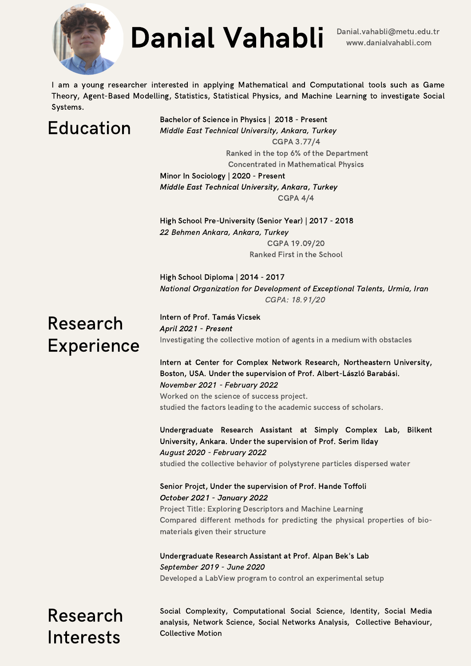

# Danial Vahabli Danial.vahabli@metu.edu.tr

I am a young researcher interested in applying Mathematical and Computational tools such as Game Theory, Agent-Based Modelling, Statistics, Statistical Physics, and Machine Learning to investigate Social Systems.

#### Education

Bachelor of Science in Physics | 2018 - Present Middle East Technical University, Ankara, Turkey CGPA 3.77/4 Ranked in the top 6% of the Department

**Concentrated in Mathematical Physics** Minor In Sociology | 2020 - Present Middle East Technical University, Ankara, Turkey CGPA 4/4

High School Pre-University (Senior Year) | 2017 - 2018 22 Behmen Ankara, Ankara, Turkey CGPA 19.09/20 Ranked First in the School

High School Diploma | 2014 - 2017 National Organization for Development of Exceptional Talents, Urmia, Iran CGPA: 18.91/20

#### Research Experience

Intern of Prof. Tamás Vicsek April 2021 - Present Investigating the collective motion of agents in a medium with obstacles

Intern at Center for Complex Network Research, Northeastern University, Boston, USA. Under the supervision of Prof. Albert-László Barabási. November 2021 - February 2022

Worked on the science of success project. studied the factors leading to the academic success of scholars.

Undergraduate Research Assistant at Simply Complex Lab, Bilkent University, Ankara. Under the supervision of Prof. Serim Ilday August 2020 - February 2022 studied the collective behavior of polystyrene particles dispersed water

Senior Projct, Under the supervision of Prof. Hande Toffoli October 2021 - January 2022

Project Title: Exploring Descriptors and Machine Learning Compared different methods for predicting the physical properties of biomaterials given their structure

Undergraduate Research Assistant at Prof. Alpan Bek's Lab September 2019 - June 2020 Developed a LabView program to control an experimental setup

Research Interests

Social Complexity, Computational Social Science, Identity, Social Media analysis, Network Science, Social Networks Analysis, Collective Behaviour, **Collective Motion**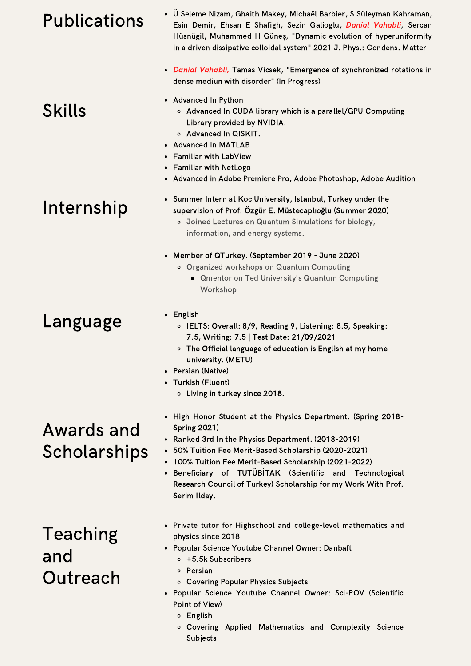## Publications

- Ü Seleme Nizam, Ghaith Makey, Michaël Barbier, S Süleyman [Kahraman,](https://iopscience.iop.org/article/10.1088/1361-648X/abf9b8) Esin Demir, Ehsan E Shafigh, Sezin Galioglu, Danial Vahabli, Sercan Hüsnügil, Muhammed H Güneş, "Dynamic evolution of hyperuniformity in a driven dissipative colloidal system" 2021 J. Phys.: Condens. Matter
- Danial Vahabli, Tamas Vicsek, "Emergence of synchronized rotations in dense mediun with disorder" (In Progress)
- Advanced In Python
	- o Advanced In CUDA library which is a parallel/GPU Computing Library provided by NVIDIA.
	- Advanced In QISKIT.
- Advanced In MATLAB
- Familiar with LabView
- Familiar with NetLogo
- Advanced in Adobe Premiere Pro, Adobe Photoshop, Adobe Audition

### Internship

**Skills** 

- Summer Intern at Koc University, Istanbul, Turkey under the supervision of Prof. Özgür E. Müstecaplıoğlu (Summer 2020)
	- o Joined Lectures on Quantum Simulations for biology, information, and energy systems.
- Member of QTurkey. (September 2019 June 2020)
	- o Organized workshops on Quantum Computing
		- **Qmentor on Ted University's Quantum Computing** Workshop
- English
	- o IELTS: Overall: 8/9, Reading 9, Listening: 8.5, Speaking: 7.5, Writing: 7.5 | Test Date: 21/09/2021
	- o The Official language of education is English at my home university. (METU)
- Persian (Native)
- Turkish (Fluent)
	- $\circ$  Living in turkey since 2018.
- High Honor Student at the Physics Department. (Spring 2018-Spring 2021)
- Ranked 3rd In the Physics Department. (2018-2019)
- 50% Tuition Fee Merit-Based Scholarship (2020-2021)
- 100% Tuition Fee Merit-Based Scholarship (2021-2022)
- Beneficiary of TUTÜBİTAK (Scientific and Technological Research Council of Turkey) Scholarship for my Work With Prof. Serim Ilday.

#### Teaching and **Outreach**

- Private tutor for Highschool and college-level mathematics and physics since 2018
- Popular Science Youtube Channel Owner: Danbaft
	- $\circ$  +5.5k Subscribers
	- o Persian
	- o Covering Popular Physics Subjects
- Popular Science Youtube Channel Owner: Sci-POV (Scientific Point of View)
	- o English
	- o Covering Applied Mathematics and Complexity Science Subjects

- Awards and
- Scholarships

Language